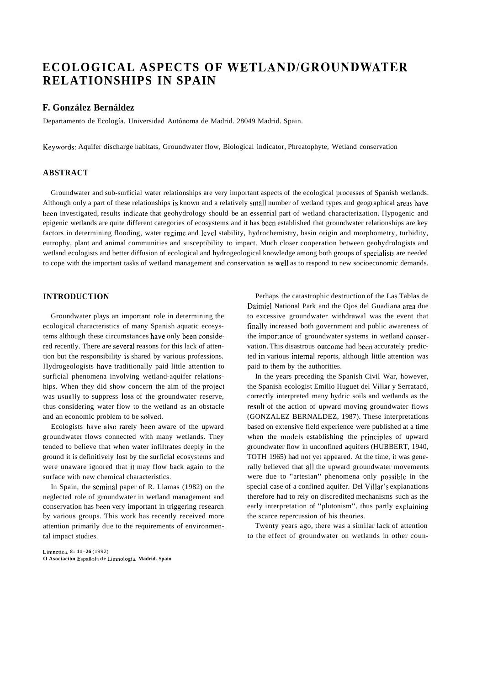# **ECOLOGICAL ASPECTS OF WETLANDIGROUNDWATER RELATIONSHIPS IN SPAIN**

## **F. González Bernáldez**

Departamento de Ecología. Universidad Autónoma de Madrid. 28049 Madrid. Spain.

Keywords: Aquifer discharge habitats, Groundwater flow, Biological indicator, Phreatophyte, Wetland conservation

## **ABSTRACT**

Groundwater and sub-surficial water relationships are very important aspects of the ecological processes of Spanish wetlands. Although only a part of these relationships is known and a relatively small number of wetland types and geographical areas have been investigated, results indicate that geohydrology should be an essential part of wetland characterization. Hypogenic and epigenic wetlands are quite different categories of ecosystems and it has been established that groundwater relationships are key factors in determining flooding, water regime and level stability, hydrochemistry, basin origin and morphometry, turbidity, eutrophy, plant and animal communities and susceptibility to impact. Much closer cooperation between geohydrologists and wetland ecologists and better diffusion of ecological and hydrogeological knowledge among both groups of specialists are needed to cope with the important tasks of wetland management and conservation as well as to respond to new socioeconomic demands.

## **INTRODUCTION**

Groundwater plays an important role in determining the ecological characteristics of many Spanish aquatic ecosystems although these circumstances have only been considered recently. There are several reasons for this lack of attention but the responsibility is shared by various professions. Hydrogeologists have traditionally paid little attention to surficial phenomena involving wetland-aquifer relationships. When they did show concern the aim of the project was usually to suppress loss of the groundwater reserve, thus considering water flow to the wetland as an obstacle and an economic problem to be solved.

Ecologists have also rarely been aware of the upward groundwater flows connected with many wetlands. They tended to believe that when water infiltrates deeply in the ground it is definitively lost by the surficial ecosystems and were unaware ignored that it may flow back again to the surface with new chemical characteristics.

In Spain, the seminal paper of R. Llamas (1982) on the neglected role of groundwater in wetland management and conservation has been very important in triggering research by various groups. This work has recently received more attention primarily due to the requirements of environmental impact studies.

**L~mnetica, 8: 11-26** (1992) **O Asociación Espafiola de Limnologia, Madrid. Spain** 

Perhaps the catastrophic destruction of the Las Tablas de Daimiel National Park and the Ojos del Guadiana area due to excessive groundwater withdrawal was the event that finally increased both government and public awareness of the importance of groundwater systems in wetland conservation. This disastrous outcome had been accurately predicted in various interna1 reports, although little attention was paid to them by the authorities.

In the years preceding the Spanish Civil War, however, the Spanish ecologist Emilio Huguet del Villar y Serratacó, correctly interpreted many hydric soils and wetlands as the result of the action of upward moving groundwater flows (GONZALEZ BERNALDEZ, 1987). These interpretations based on extensive field experience were published at a time when the models establishing the principies of upward groundwater flow in unconfined aquifers (HUBBERT, 1940, TOTH 1965) had not yet appeared. At the time, it was generally believed that al1 the upward groundwater movements were due to "artesian" phenomena only possible in the special case of a confined aquifer. Del Villar's explanations therefore had to rely on discredited mechanisms such as the early interpretation of "plutonism", thus partly explaining the scarce repercussion of his theories.

Twenty years ago, there was a similar lack of attention to the effect of groundwater on wetlands in other coun-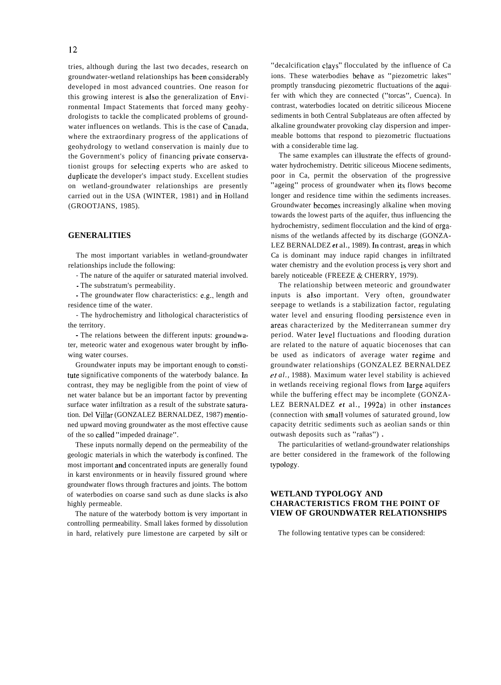tries, although during the last two decades, research on groundwater-wetland relationships has been considerably developed in most advanced countries. One reason for this growing interest is also the generalization of Environmental Impact Statements that forced many geohydrologists to tackle the complicated problems of groundwater influences on wetlands. This is the case of Canada, where the extraordinary progress of the applications of geohydrology to wetland conservation is mainly due to the Government's policy of financing private conservationist groups for selecting experts who are asked to duplicate the developer's impact study. Excellent studies on wetland-groundwater relationships are presently carried out in the USA (WINTER, 1981) and in Holland (GROOTJANS, 1985).

## **GENERALITIES**

The most important variables in wetland-groundwater relationships include the following:

- The nature of the aquifer or saturated material involved.

- The substratum's permeability.

- The groundwater flow characteristics: e.g., length and residence time of the water.

- The hydrochemistry and lithological characteristics of the territory.

- The relations between the different inputs: groundwater, meteoric water and exogenous water brought by inflowing water courses.

Groundwater inputs may be important enough to constitute significative components of the waterbody balance. In contrast, they may be negligible from the point of view of net water balance but be an important factor by preventing surface water infiltration as a result of the substrate saturation. Del ViHar (GONZALEZ BERNALDEZ, 1987) mentioned upward moving groundwater as the most effective cause of the so called "impeded drainage".

These inputs normally depend on the permeability of the geologic materials in which the waterbody is confined. The most important and concentrated inputs are generally found in karst environments or in heavily fissured ground where groundwater flows through fractures and joints. The bottom of waterbodies on coarse sand such as dune slacks is also highly permeable.

The nature of the waterbody bottom is very important in controlling permeability. Small lakes formed by dissolution in hard, relatively pure limestone are carpeted by silt or "decalcification clays" flocculated by the influence of Ca ions. These waterbodies behave as "piezometric lakes" promptly transducing piezometric fluctuations of the aquifer with which they are connected ("torcas", Cuenca). In contrast, waterbodies located on detritic siliceous Miocene sediments in both Central Subplateaus are often affected by alkaline groundwater provoking clay dispersion and impermeable bottoms that respond to piezometric fluctuations with a considerable time lag.

The same examples can illustrate the effects of groundwater hydrochemistry. Detritic siliceous Miocene sediments, poor in Ca, permit the observation of the progressive "ageing" process of groundwater when its flows become longer and residence time within the sediments increases. Groundwater becomes increasingly alkaline when moving towards the lowest parts of the aquifer, thus influencing the hydrochemistry, sediment flocculation and the kind of organisms of the wetlands affected by its discharge (GONZA-LEZ BERNALDEZ *et* al., 1989). In contrast, areas in which Ca is dominant may induce rapid changes in infiltrated water chemistry and the evolution process is very short and barely noticeable (FREEZE & CHERRY, 1979).

The relationship between meteoric and groundwater inputs is also important. Very often, groundwater seepage to wetlands is a stabilization factor, regulating water level and ensuring flooding persistence even in areas characterized by the Mediterranean summer dry period. Water level fluctuations and flooding duration are related to the nature of aquatic biocenoses that can be used as indicators of average water regime and groundwater relationships (GONZALEZ BERNALDEZ *et al.,* 1988). Maximum water level stability is achieved in wetlands receiving regional flows from large aquifers while the buffering effect may be incomplete (GONZA-LEZ BERNALDEZ *et* al., 1992a) in other instances (connection with small volumes of saturated ground, low capacity detritic sediments such as aeolian sands or thin outwash deposits such as "rañas") .

The particularities of wetland-groundwater relationships are better considered in the framework of the following typology.

## **WETLAND TYPOLOGY AND CHARACTERISTICS FROM THE POINT OF VIEW OF GROUNDWATER RELATIONSHIPS**

The following tentative types can be considered: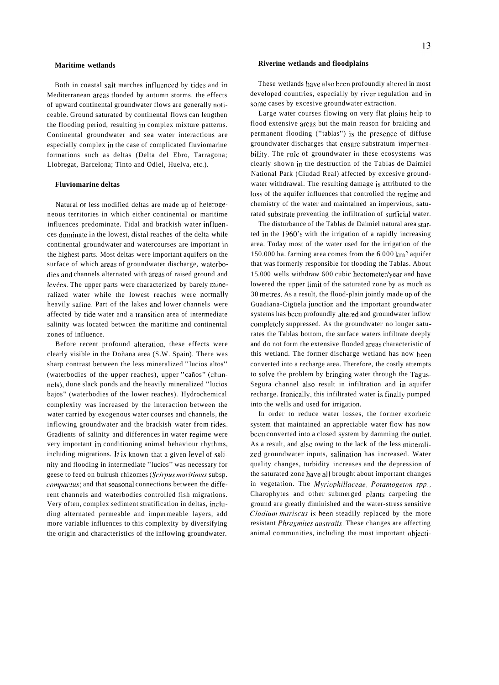Both in coastal salt marches intluenced by tides and in Mediterranean areas tlooded by autumn storms. the effects of upward continental groundwater flows are generally noticeable. Ground saturated by continental flows can lengthen the flooding period, resulting in complex mixture patterns. Continental groundwater and sea water interactions are especially complex in the case of complicated fluviomarine formations such as deltas (Delta del Ebro, Tarragona; Llobregat, Barcelona; Tinto and Odiel, Huelva, etc.).

### **Fluviomarine deltas**

Natural or less modified deltas are made up of heterogeneous territories in which either continental or maritime influences predominate. Tidal and brackish water influences dominate in the lowest, dista1 reaches of the delta while continental groundwater and watercourses are important in the highest parts. Most deltas were important aquifers on the surface of which areas of groundwater discharge, waterbodies and channels alternated with areas of raised ground and levées. The upper parts were characterized by barely mineralized water while the lowest reaches were normally heavily saline. Part of the lakes and lower channels were affected by tide water and a transition area of intermediate salinity was located betwcen the maritime and continental zones of influence.

Before recent profound alteration, these effects were clearly visible in the Doñana area (S.W. Spain). There was sharp contrast between the less mineralized "lucios altos" (waterbodies of the upper reaches), upper "caños" (channels), dune slack ponds and the heavily mineralized "lucios bajos" (waterbodies of the lower reaches). Hydrochemical complexity was increased by the interaction between the water carried by exogenous water courses and channels, the inflowing groundwater and the brackish water from tides. Gradients of salinity and differences in water regime were very important in conditioning animal behaviour rhythms, including migrations. It is known that a given level of salinity and flooding in intermediate "lucios" was necessary for geese to feed on bulrush rhizomes (Scirpus maritimus subsp. compactus) and that seasonal connections between the different channels and waterbodies controlled fish migrations. Very often, complex sediment stratification in deltas, including alternated permeable and impermeable layers, add more variable influences to this complexity by diversifying the origin and characteristics of the inflowing groundwater.

### **Maritime wetlands Riverine wetlands and floodplains**

These wetlands have also been profoundly altered in most developed countries, especially by river regulation and in some cases by excesive groundwater extraction.

Large water courses flowing on very flat plains help to flood extensive areas but the main reason for braiding and permanent flooding ("tablas") is the presence of diffuse groundwater discharges that ensure substratum impermeability. The role of groundwater in these ecosystems was clearly shown in the destruction of the Tablas de Daimiel National Park (Ciudad Real) affected by excesive groundwater withdrawal. The resulting damage is attributed to the loss of the aquifer influences that controlied the regime and chemistry of the water and maintained an impervious, saturated substrate preventing the infiltration of surficial water.

The disturbance of the Tablas de Daimiel natural area started in the 1960's with the irrigation of a rapidly increasing area. Today most of the water used for the irrigation of the 150.000 ha. farming area comes from the 6 000 km2 aquifer that was formerly responsible for tlooding the Tablas. About 15.000 wells withdraw 600 cubic hectometer/year and have lowered the upper limit of the saturated zone by as much as 30 metres. As a result, the flood-plain jointly made up of the Guadiana-Cigüela junction and the important groundwater systems has been profoundly altered and groundwater inflow completely suppressed. As the groundwater no longer saturates the Tablas bottom, the surface waters infiltrate deeply and do not form the extensive flooded areas characteristic of this wetland. The former discharge wetland has now been converted into a recharge area. Therefore, the costly attempts to solve the problem by bringing water through the Tagus-Segura channel also result in infiltration and in aquifer recharge. Ironically, this infiltrated water is finally pumped into the wells and used for irrigation.

In order to reduce water losses, the former exorheic system that maintained an appreciable water flow has now been converted into a closed system by damming the outlet. As a result, and also owing to the lack of the less mineralized groundwater inputs, salination has increased. Water quality changes, turbidity increases and the depression of the saturated zone have al1 brought about important changes in vegetation. The Myriophillaceae, Potamogeton spp., Charophytes and other submerged plants carpeting the ground are greatly diminished and the water-stress sensitive Cladium mariscus is been steadily replaced by the more resistant Phragmites australis. These changes are affecting animal communities, including the most important objecti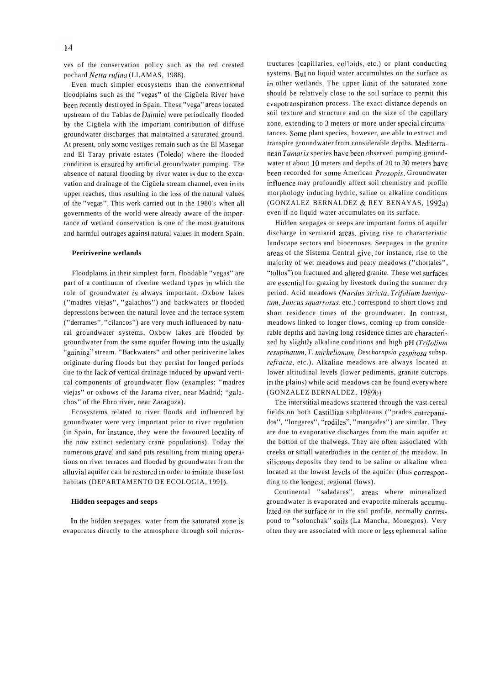ves of the conservation policy such as the red crested pochard *Netta rufina* (LLAMAS, 1988).

Even much simpler ecosystems than the conventional floodplains such as the "vegas" of the Cigüela River have been recently destroyed in Spain. These "vega" areas located upstrearn of the Tablas de Daimiel were periodically flooded by the Cigüela with the important contribution of diffuse groundwater discharges that maintained a saturated ground. At present, only some vestiges remain such as the El Masegar and El Taray private estates (Toledo) where the flooded condition is ensured by artificial groundwater pumping. The absence of natural flooding by river water is due to the excavation and drainage of the Cigüela stream channel, even in its upper reaches, thus resulting in the loss of the natural values of the "vegas". This work carried out in the 1980's when al1 governments of the world were already aware of the importance of wetland conservation is one of the most gratuitous and harmful outrages against natural values in modern Spain.

#### **Peririverine wetlands**

Floodplains in their simplest form, floodable "vegas" are part of a continuum of riverine wetland types in which the role of groundwater is always important. Oxbow lakes ("madres viejas", "galachos") and backwaters or flooded depressions between the natural levee and the terrace system ("derrames", "cilancos") are very much influenced by natural groundwater systems. Oxbow lakes are flooded by groundwater from the same aquifer flowing into the usually "gaining" stream. "Backwaters" and other peririverine lakes originate during floods but they persist for longed periods due to the Iack of vertical drainage induced by upward vertical components of groundwater flow (examples: "madres viejas" or oxbows of the Jarama river, near Madrid; "galachos" of the Ebro river, near Zaragoza).

Ecosystems related to river floods and influenced by groundwater were very important prior to river regulation (in Spain, for instance, they were the favoured locality of the now extinct sedentary crane populations). Today the numerous gravel and sand pits resulting from mining operations on river terraces and flooded by groundwater from the alluvial aquifer can be restored in order to imitate these lost habitats (DEPARTAMENTO DE ECOLOGIA, 1991).

#### **Hidden seepages and seeps**

In the hidden seepages. water from the saturated zone is evaporates directly to the atmosphere through soil microstructures (capillaries, colloids, etc.) or plant conducting systems. But no liquid water accumulates on the surface as in other wetlands. The upper limit of the saturated zone should be relatively close to the soil surface to permit this evapotranspiration process. The exact distance depends on soil texture and structure and on the size of the capillary zone, extending to 3 meters or more under special circumstances. Some plant species, however, are able to extract and transpire groundwater from considerable depths. Mediterranean *Tamarix* species have been observed pumping groundwater at about 10 meters and depths of 20 to 30 meters have been recorded for some American *Prosopis.* Groundwater influence may profoundly affect soil chemistry and profile morphology inducing hydric, saline or alkaline conditions (GONZALEZ BERNALDEZ & REY BENAYAS, 1992a) even if no liquid water accumulates on its surface.

Hidden seepages or seeps are important forms of aquifer discharge in semiarid areas. giving rise to characteristic landscape sectors and biocenoses. Seepages in the granite areas of the Sistema Central give, for instance, rise to the majority of wet meadows and peaty meadows ("chortales", "tallos") on fractured and altered granite. These wet surfaces are essential for grazing by livestock during the summer dry period. Acid meadows (Nardus stricta, Trifolium laeviga*fum, Juncus squarrosus, etc.)* correspond to short tlows and short residence times of the groundwater. In contrast, meadows linked to longer flows, coming up from considerable depths and having long residence times are characterized by slightly alkaline conditions and high pH *(Trifolium*)  $resupinatum, T. michelianum, Descharnpsia cespitosa subsp.$ refracta, etc.). Alkaline meadows are always located at lower altitudinal levels (lower pediments, granite outcrops in the plains) while acid meadows can be found everywhere (GONZALEZ BERNALDEZ, 1989b)

The interstitial meadows scattered through the vast cereal fields on both Castillian subplateaus ("prados entrepanados", "longares", "rodiles", "mangadas") are similar. They are due to evaporative discharges from the main aquifer at the botton of the thalwegs. They are often associated with creeks or small waterbodies in the center of the meadow. In siliceous deposits they tend to be saline or alkaline when located at the lowest levels of the aquifer (thus corresponding to the longest, regional flows).

Continental "saladares", areas where mineralized groundwater is evaporated and evaporite minerals accumulated on the surface or in the soil profile, normally correspond to "solonchak" soils (La Mancha, Monegros). Very often they are associated with more or less ephemeral saline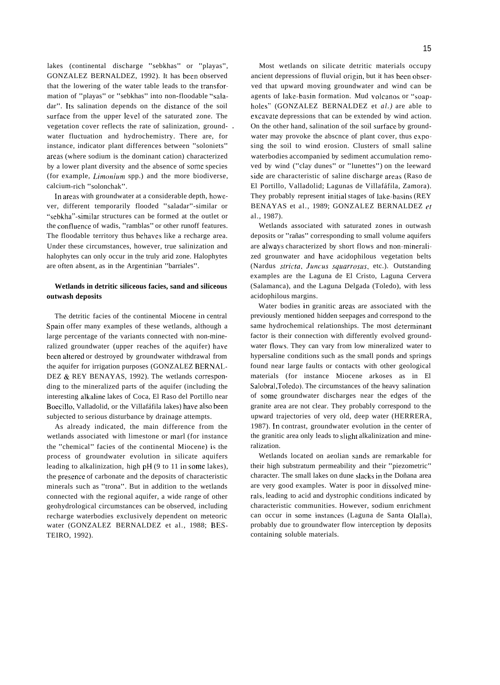lakes (continental discharge "sebkhas" or "playas", GONZALEZ BERNALDEZ, 1992). It has been observed that the lowering of the water table leads to the transformation of "playas" or "sebkhas" into non-floodable "saladar". Its salination depends on the distance of the soil surface from the upper level of the saturated zone. The vegetation cover reflects the rate of salinization, ground- . water fluctuation and hydrochemistry. There are, for instance, indicator plant differences between "soloniets" areas (where sodium is the dominant cation) characterized by a lower plant diversity and the absence of some species (for example, *Limonium* spp.) and the more biodiverse, calcium-rich "solonchak".

In areas with groundwater at a considerable depth, however, different temporarily flooded "saladar"-similar or "sebkha"-similar structures can be formed at the outlet or the confluence of wadis, "ramblas" or other runoff features. The floodable territory thus behaves like a recharge area. Under these circumstances, however, true salinization and halophytes can only occur in the truly arid zone. Halophytes are often absent, as in the Argentinian "barriales".

## **Wetlands in detritic siliceous facies, sand and siliceous outwash deposits**

The detritic facies of the continental Miocene in central Spain offer many examples of these wetlands, although a large percentage of the variants connected with non-mineralized groundwater (upper reaches of the aquifer) have been altered or destroyed by groundwater withdrawal from the aquifer for irrigation purposes (GONZALEZ BERNAL-DEZ & REY BENAYAS, 1992). The wetlands corresponding to the mineralized parts of the aquifer (including the interesting alkaline lakes of Coca, El Raso del Portillo near Boecillo, Valladolid, or the Villafáfila lakes) have also been subjected to serious disturbance by drainage attempts.

As already indicated, the main difference from the wetlands associated with limestone or mar1 (for instance the "chemical" facies of the continental Miocene) is the process of groundwater evolution in silicate aquifers leading to alkalinization, high pH (9 to 11 in come lakes), the presence of carbonate and the deposits of characteristic minerals such as "trona". But in addition to the wetlands connected with the regional aquifer, a wide range of other geohydrological circumstances can be observed, including recharge waterbodies exclusively dependent on meteoric water (GONZALEZ BERNALDEZ et al., 1988; BES-TEIRO, 1992).

Most wetlands on silicate detritic materials occupy ancient depressions of fluvial origin, but it has been observed that upward moving groundwater and wind can be agents of lake-basin formation. Mud volcanos or "soapholes" (GONZALEZ BERNALDEZ et *al.)* are able to excavate depressions that can be extended by wind action. On the other hand, salination of the soil surface by groundwater may provoke the abscnce of plant cover, thus exposing the soil to wind erosion. Clusters of small saline waterbodies accompanied by sediment accumulation removed by wind ("clay dunes" or "lunettes") on the leeward

side are characteristic of saline discharge areas (Raso de El Portillo, Valladolid; Lagunas de Villafáfila, Zamora). They probably represent initial stages of lake-basins (REY BENAYAS et al., 1989; GONZALEZ BERNALDEZ er al., 1987).

Wetlands associated with saturated zones in outwash deposits or "rañas" corresponding to small volume aquifers are always characterized by short flows and non-mineralized grounwater and have acidophilous vegetation belts (Nardus stricta, Juncus squarrosus, etc.). Outstanding examples are the Laguna de El Cristo, Laguna Cervera (Salamanca), and the Laguna Delgada (Toledo), with less acidophilous margins.

Water bodies in granitic areas are associated with the previously mentioned hidden seepages and correspond to the same hydrochemical relationships. The most determinant factor is their connection with differently evolved groundwater flows. They can vary from low mineralized water to hypersaline conditions such as the small ponds and springs found near large faults or contacts with other geological materials (for instance Miocene arkoses as in El Salobral,Toledo). The circumstances of the heavy salination of some groundwater discharges near the edges of the granite area are not clear. They probably correspond to the upward trajectories of very old, deep water (HERRERA, 1987). In contrast, groundwater evolution in the center of the granitic area only leads to slight alkalinization and mineralization.

Wetlands located on aeolian sands are remarkable for their high substratum permeability and their "piezometric" character. The small lakes on dune slacks in the Doñana area are very good examples. Water is poor in dissolved minerals, leading to acid and dystrophic conditions indicated by characteristic communities. However, sodium enrichment can occur in some instances (Laguna de Santa Olalla), probably due to groundwater flow interception by deposits containing soluble materials.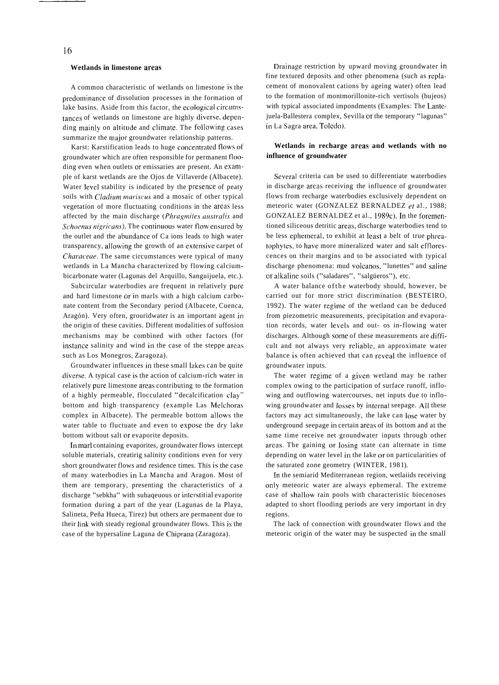#### **Wetlands in limestone areas**

A common characteristic of wetlands on limestone is the predominance of dissolution processes in the formation of lake basins. Aside from this factor, the ecological circumstances of wetlands on limestone are highly diverse, depending mainly on altitude and climate. The following cases summarize the major groundwater relationship patterns.

Karst: Karstification leads to huge concentrated flows of groundwater which are often responsible for permanent flooding even when outlets or emissaries are present. An example of karst wetlands are the Ojos de Villaverde (Albacete). Water level stability is indicated by the presence of peaty soils with Cladium mariscus and a mosaic of other typical vegetation of more fluctuating conditions in the areas less affected by the main discharge (Phragmites australis and *Schoenus nigricans*). The continuous water flow ensured by the outlet and the abundance of Ca ions leads to high water transparency, allowing the growth of an extensive carpet of Characeae. The same circumstances were typical of many wetlands in La Mancha characterized by flowing calciumbicarbonate water (Lagunas del Arquillo, Sanguijuela, etc.).

Subcircular waterbodies are frequent in relatively pure and hard limestone or in marls with a high calcium carbonate content from the Secondary period (Albacete, Cuenca, Aragón). Very often, grouridwater is an important agent in the origin of these cavities. Different modalities of suffosion mechanisms may be combined with other factors (for instance salinity and wind in the case of the steppe areas such as Los Monegros, Zaragoza).

Groundwater influences in these small lakes can be quite diverse. A typical case is the action of calcium-rich water in relatively pure limestone areas contributing to the formation of a highly permeable, flocculated "decalcification clay" bottom and high transparency (example Las Melchoras complex in Albacete). The permeable bottom allows the water table to fluctuate and even to expose the dry lake bottom without salt or evaporite deposits.

In mar1 containing evaporites, groundwater flows intercept soluble materials, creatirig salinity conditions even for very short groundwater flows and residence times. This is the case of many waterbodies in La Mancha and Aragon. Most of them are temporary, presenting the characteristics of a discharge "sebkha" with subaqeuous or interstitial evaporite formation during a part of the year (Lagunas de la Playa, Salineta, Peña Hueca, Tirez) but others are permanent due to their link with steady regional groundwater flows. This is the case of the hypersaline Laguna de Chiprana (Zaragoza).

Drainage restriction by upward moving groundwater in fine textured deposits and other phenomena (such as replacement of monovalent cations by ageing water) often lead to the formation of montmorillonite-rich vertisols (bujeos) with typical associated impondments (Examples: The Lantejuela-Ballestera complex, Sevilla or the temporary "lagunas" in La Sagra area, Toledo).

## **Wetlands in recharge areas and wetlands with no influence of groundwater**

Several criteria can be used to differentiate waterbodies in discharge areas receiving the influence of groundwater flows from recharge waterbodies exclusively dependent on meteoric water (GONZALEZ BERNALDEZ et al., 1988; GONZALEZ BERNALDEZ et al., 1989c). In the forementioned siliceous detritic areas, discharge waterbodies tend to be less ephemeral, to exhibit at least a belt of true phreatophytes, to have more mineralized water and salt efflorescences on their margins and to be associated with typical discharge phenomena: mud volcanos, "lunettes" and saline or alkaline soils ("saladares", "salgüeros"), etc.

A water balance ofthe waterbody should, however, be carried out for more strict discrimination (BESTEIRO, 1992). The water regime of the wetland can be deduced from piezometric measurements, precipitation and evaporation records, water levels and out- os in-flowing water discharges. Although some of these measurements are difficult and not always very reliable, an approximate water balance is often achieved that can reveal the influence of groundwater inputs.

The water regime of a given wetland may be rather complex owing to the participation of surface runoff, inflowing and outflowing watercourses, net inputs due to inflowing groundwater and losses by internal seepage. All these factors may act simultaneously, the lake can lose water by underground seepage in certain areas of its bottom and at the same time receive net groundwater inputs through other areas. The gaining or losing state can alternate in time depending on water level in the lake or on particularities of the saturated zone geometry (WINTER, 198 1).

In the semiarid Mediterranean region, wetlaiids receiving only meteoric water are always ephemeral. The extreme case of shallow rain pools with characteristic biocenoses adapted to short flooding periods are very important in dry regions.

The lack of connection with groundwater flows and the meteoric origin of the water may be suspected in the small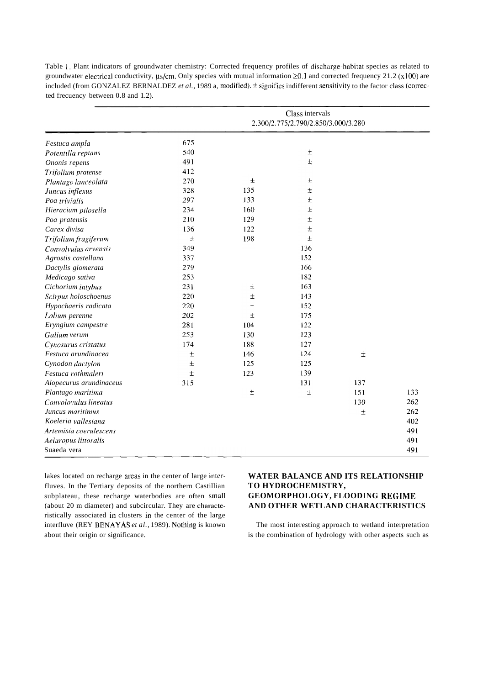|                         | Class intervals<br>2.300/2.775/2.790/2.850/3.000/3.280 |       |       |       |     |
|-------------------------|--------------------------------------------------------|-------|-------|-------|-----|
| Festuca ampla           | 675                                                    |       |       |       |     |
| Potentilla reptans      | 540                                                    |       | $\pm$ |       |     |
| Ononis repens           | 491                                                    |       | $\pm$ |       |     |
| Trifolium pratense      | 412                                                    |       |       |       |     |
| Plantago lanceolata     | 270                                                    | $\pm$ | 土     |       |     |
| Juncus inflexus         | 328                                                    | 135   | Ŧ     |       |     |
| Poa trivialis           | 297                                                    | 133   | $\pm$ |       |     |
| Hieracium pilosella     | 234                                                    | 160   | $\pm$ |       |     |
| Poa pratensis           | 210                                                    | 129   | Ŧ     |       |     |
| Carex divisa            | 136                                                    | 122   | $\pm$ |       |     |
| Trifolium fragiferum    | $\pm$                                                  | 198   | $\pm$ |       |     |
| Convolvulus arvensis    | 349                                                    |       | 136   |       |     |
| Agrostis castellana     | 337                                                    |       | 152   |       |     |
| Dactylis glomerata      | 279                                                    |       | 166   |       |     |
| Medicago sativa         | 253                                                    |       | 182   |       |     |
| Cichorium intybus       | 231                                                    | $\pm$ | 163   |       |     |
| Scirpus holoschoenus    | 220                                                    | $\pm$ | 143   |       |     |
| Hypochaeris radicata    | 220                                                    | $\pm$ | 152   |       |     |
| Lolium perenne          | 202                                                    | $\pm$ | 175   |       |     |
| Eryngium campestre      | 281                                                    | 104   | 122   |       |     |
| Galium verum            | 253                                                    | 130   | 123   |       |     |
| Cynosurus cristatus     | 174                                                    | 188   | 127   |       |     |
| Festuca arundinacea     | $\pm$                                                  | 146   | 124   | $\pm$ |     |
| Cynodon dactylon        | $\pm$                                                  | 125   | 125   |       |     |
| Festuca rothmaleri      | $\pm$                                                  | 123   | 139   |       |     |
| Alopecurus arundinaceus | 315                                                    |       | 131   | 137   |     |
| Plantago maritima       |                                                        | $\pm$ | $\pm$ | 151   | 133 |
| Convolovulus lineatus   |                                                        |       |       | 130   | 262 |
| Juncus maritimus        |                                                        |       |       | 土     | 262 |
| Koeleria vallesiana     |                                                        |       |       |       | 402 |
| Artemisia coerulescens  |                                                        |       |       |       | 491 |
| Aeluropus littoralis    |                                                        |       |       |       | 491 |
| Suaeda vera             |                                                        |       |       |       | 491 |

Table **1.** Plant indicators of groundwater chemistry: Corrected frequency profiles of discharge-habitat species as related to groundwater electrical conductivity,  $\mu s/cm$ . Only species with mutual information  $\geq 0.1$  and corrected frequency 21.2 (x100) are included (from GONZALEZ BERNALDEZ *et al.*, 1989 a, modified).  $\pm$  signifies indifferent sensitivity to the factor class (corrected frecuency between 0.8 and 1.2).

lakes located on recharge areas in the center of large interfluves. In the Tertiary deposits of the northern Castillian subplateau, these recharge waterbodies are often small (about 20 m diameter) and subcircular. They are characteristically associated in clusters in the center of the large interfluve (REY BENAYAS et al., 1989). Nothing is known about their origin or significance.

## **WATER BALANCE AND ITS RELATIONSHIP TO HYDROCHEMISTRY, GEOMORPHOLOGY, FLOODING REGIME AND OTHER WETLAND CHARACTERISTICS**

The most interesting approach to wetland interpretation is the combination of hydrology with other aspects such as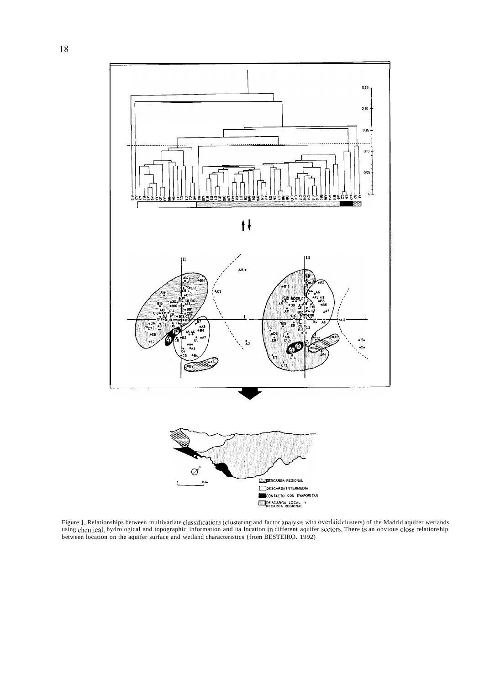

Figure l. Relationships between multivariate classifications (clustering and factor analysis with overlaid clusters) of the Madrid aquifer wetlands using chemical, hydrological and topographic information and ita location in different aquifer sectors. There is an obvious close relationship between location on the aquifer surface and wetland characteristics (from BESTEIRO. 1992)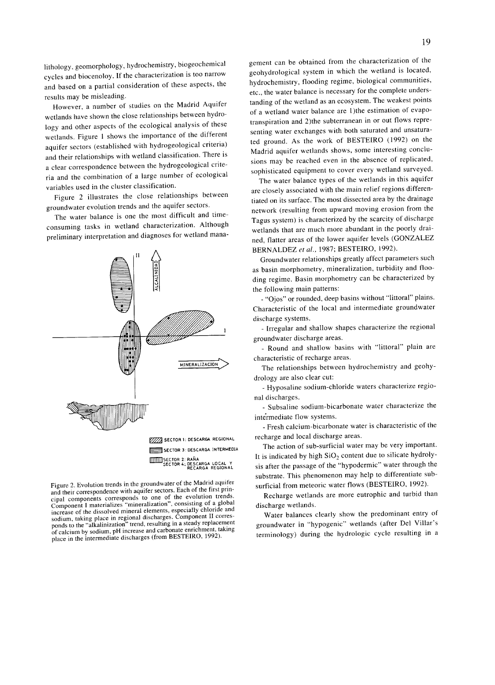lithology, geomorphology, hydrochemistry, biogeochemical cycles and biocenoloy. If the characterization is too narrow and based on a partial consideration of these aspects, the results may be misleading.

However, a number of studies on the Madrid Aquifer wetlands have shown the close relationships between hydrology and other aspects of the ecological analysis of these wetlands. Figure 1 shows the importance of the different aquifer sectors (established with hydrogeological criteria) and their relationships with wetland classification. There is a clear correspondence between the hydrogeological criteria and the combination of a large number of ecological variables used in the cluster classification.

Figure 2 illustrates the close relationships between groundwater evolution trends and the aquifer sectors.

The water balance is one the most difficult and timeconsuming tasks in wetland characterization. Although preliminary interpretation and diagnoses for wetland mana-



Figure 2. Evolution trends in the groundwater of the Madrid aquifer and their correspondence with aquifer sectors. Each of the first principal components corresponds to one of the evolution trends. Component I materializes "mineralization", consisting of a global increase of the dissolved mineral elements, especially chloride and sodium, taking place in regional discharges. Component II corresponds to the "alkalinization" trend, resulting in a steady replacement of calcium by sodium, pH increase and carbonate enrichment, taking place in the intermediate discharges (from BESTEIRO, 1992).

gement can be obtained from the characterization of the geohydrological system in which the wetland is located, hydrochemistry, flooding regime, biological communities, etc., the water balance is necessary for the complete understanding of the wetland as an ecosystem. The weakest points of a wetland water balance are 1)the estimation of evapotranspiration and 2) the subterranean in or out flows representing water exchanges with both saturated and unsaturated ground. As the work of BESTEIRO (1992) on the Madrid aquifer wetlands shows, some interesting conclusions may be reached even in the absence of replicated, sophisticated equipment to cover every wetland surveyed.

The water balance types of the wetlands in this aquifer are closely associated with the main relief regions differentiated on its surface. The most dissected area by the drainage network (resulting from upward moving erosion from the Tagus system) is characterized by the scarcity of discharge wetlands that are much more abundant in the poorly drained, flatter areas of the lower aquifer levels (GONZALEZ BERNALDEZ et al., 1987; BESTEIRO, 1992).

Groundwater relationships greatly affect parameters such as basin morphometry, mineralization, turbidity and flooding regime. Basin morphometry can be characterized by the following main patterns:

"Ojos" or rounded, deep basins without "littoral" plains. Characteristic of the local and intermediate groundwater discharge systems.

- Irregular and shallow shapes characterize the regional groundwater discharge areas.

- Round and shallow basins with "littoral" plain are characteristic of recharge areas.

The relationships between hydrochemistry and geohydrology are also clear cut:

- Hyposaline sodium-chloride waters characterize regional discharges.

- Subsaline sodium-bicarbonate water characterize the intermediate flow systems.

- Fresh calcium-bicarbonate water is characteristic of the recharge and local discharge areas.

The action of sub-surficial water may be very important. It is indicated by high  $SiO<sub>2</sub>$  content due to silicate hydrolysis after the passage of the "hypodermic" water through the substrate. This phenomenon may help to differentiate subsurficial from meteoric water flows (BESTEIRO, 1992).

Recharge wetlands are more eutrophic and turbid than discharge wetlands.

Water balances clearly show the predominant entry of groundwater in "hypogenic" wetlands (after Del Villar's terminology) during the hydrologic cycle resulting in a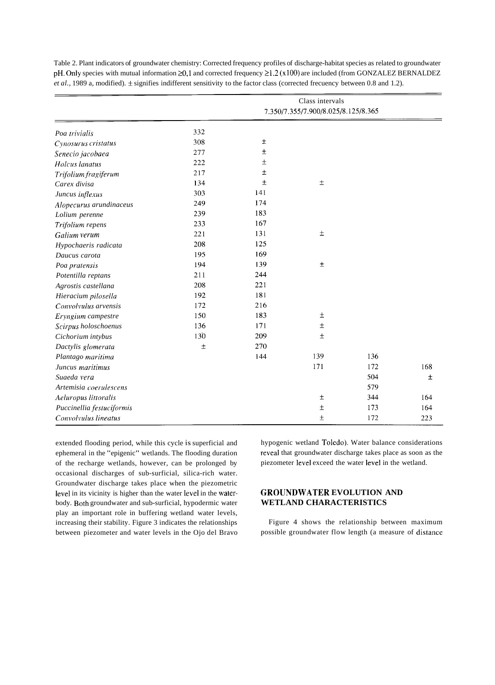|                           | Class intervals<br>7.350/7.355/7.900/8.025/8.125/8.365 |       |       |     |     |
|---------------------------|--------------------------------------------------------|-------|-------|-----|-----|
| Poa trivialis             | 332                                                    |       |       |     |     |
| Cynosurus cristatus       | 308                                                    | $\pm$ |       |     |     |
| Senecio jacobaea          | 277                                                    | 土     |       |     |     |
| Holcus lanatus            | 222                                                    | $\pm$ |       |     |     |
| Trifolium fragiferum      | 217                                                    | $\pm$ |       |     |     |
| Carex divisa              | 134                                                    | $\pm$ | $\pm$ |     |     |
| Juncus inflexus           | 303                                                    | 141   |       |     |     |
| Alopecurus arundinaceus   | 249                                                    | 174   |       |     |     |
| Lolium perenne            | 239                                                    | 183   |       |     |     |
| Trifolium repens          | 233                                                    | 167   |       |     |     |
| Galium verum              | 221                                                    | 131   | $\pm$ |     |     |
| Hypochaeris radicata      | 208                                                    | 125   |       |     |     |
| Daucus carota             | 195                                                    | 169   |       |     |     |
| Poa pratensis             | 194                                                    | 139   | $\pm$ |     |     |
| Potentilla reptans        | 211                                                    | 244   |       |     |     |
| Agrostis castellana       | 208                                                    | 221   |       |     |     |
| Hieracium pilosella       | 192                                                    | 181   |       |     |     |
| Convolvulus arvensis      | 172                                                    | 216   |       |     |     |
| Eryngium campestre        | 150                                                    | 183   | $\pm$ |     |     |
| Scirpus holoschoenus      | 136                                                    | 171   | $\pm$ |     |     |
| Cichorium intybus         | 130                                                    | 209   | $\pm$ |     |     |
| Dactylis glomerata        | $\pm$                                                  | 270   |       |     |     |
| Plantago maritima         |                                                        | 144   | 139   | 136 |     |
| Juncus maritimus          |                                                        |       | 171   | 172 | 168 |
| Suaeda vera               |                                                        |       |       | 504 | 士   |
| Artemisia coerulescens    |                                                        |       |       | 579 |     |
| Aeluropus littoralis      |                                                        |       | $\pm$ | 344 | 164 |
| Puccinellia festuciformis |                                                        |       | $\pm$ | 173 | 164 |
| Convolvulus lineatus      |                                                        |       | $\pm$ | 172 | 223 |
|                           |                                                        |       |       |     |     |

Table 2. Plant indicators of groundwater chemistry: Corrected frequency profiles of discharge-habitat species as related to groundwater pH. Only species with mutual information  $\geq 0,1$  and corrected frequency  $\geq 1.2$  (x100) are included (from GONZALEZ BERNALDEZ *et al.*, 1989 a, modified).  $\pm$  signifies indifferent sensitivity to the factor class (corrected frecuency between 0.8 and 1.2).

extended flooding period, while this cycle is superficial and hypogenic wetland Toledo). Water balance considerations ephemeral in the "epigenic" wetlands. The flooding duration reveal that groundwater discharge takes place as soon as the of the recharge wetlands, however, can be prolonged by piezometer leve1 exceed the water leve1 in the wetland. occasional discharges of sub-surficial, silica-rich water. Groundwater discharge takes place when the piezometric level in its vicinity is higher than the water level in the water- **GROUNDWATER EVOLUTION AND** body. Both groundwater and sub-surficial, hypodermic water **WETLAND CHARACTERISTICS**  play an important role in buffering wetland water levels, increasing their stability. Figure 3 indicates the relationships Figure 4 shows the relationship between maximum

between piezometer and water levels in the Ojo del Bravo possible groundwater flow length (a measure of distance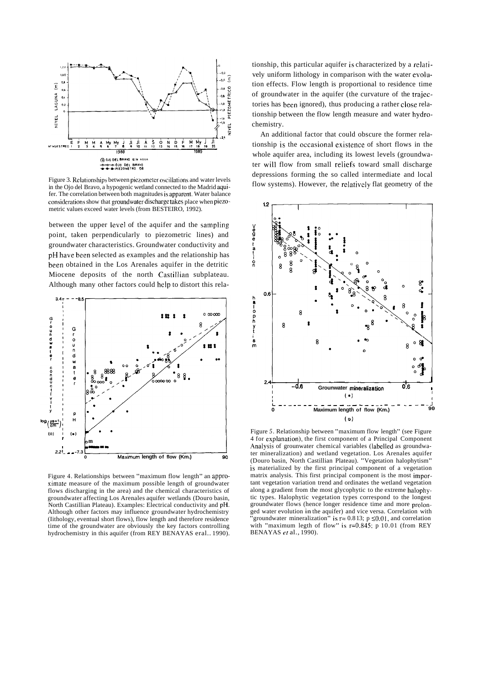

Figure 3. Relationships between piezometer oscillations and water levels in the Ojo del Bravo, a hypogenic wetland connected to the Madrid aquifer. The correlation between both magnitudes is apparent. Water balance considerations show that groundwater discharge takes place when piezometric values exceed water levels (from BESTEIRO, 1992).

between the upper leve1 of the aquifer and the sampling point, taken perpendicularly to piezometric lines) and groundwater characteristics. Groundwater conductivity and pH have been selected as examples and the relationship has been obtained in the Los Arenales aquifer in the detritic Miocene deposits of the north Castillian subplateau. Although many other factors could help to distort this rela-



Figure 4. Relationships between "maximum flow length" an approximate measure of the maximum possible length of groundwater flows discharging in the area) and the chemical characteristics of groundwater affecting Los Arenales aquifer wetlands (Douro basin, North Castillian Plateau). Examples: Electrical conductivity and pH. Although other factors may influence groundwater hydrochemistry (Iithology, eventual short flows), flow length and therefore residence time of the groundwater are obviously the key factors controlling hydrochemistry in this aquifer (from REY BENAYAS eral.. 1990).

tionship, this particular aquifer is characterized by a relatively uniform lithology in comparison with the water evolution effects. Flow length is proportional to residence time of groundwater in the aquifer (the curvature of the trajectories has been ignored), thus producing a rather close relationship between the flow length measure and water hydrochemistry.

An additional factor that could obscure the former relationship is the occasional existence of short flows in the whole aquifer area, including its lowest levels (groundwater will flow from small reliefs toward small discharge depressions forming the so called intermediate and local flow systems). However, the relatively flat geometry of the



Figure *5.* Relationship between "maximum flow length" (see Figure 4 for explanation), the first component of a Principal Component Analysis of grounwater chemical variables (labelled as groundwater mineralization) and wetland vegetation. Los Arenales aquifer (Douro basin, North Castillian Plateau). "Vegetation halophytism" is materialized by the first principal component of a vegetation matrix analysis. This first principal component is the most important vegetation variation trend and ordinates the wetland vegetation along a gradient from the most glycophytic to the extreme halophytic types. Halophytic vegetation types correspond to the longest groundwater flows (hence longer residence time and more prolonged water evolution in the aquifer) and vice versa. Correlation with groundwater mineralization<sup>"</sup> is  $r = 0.813$ ;  $p \le 0.01$ , and correlation with "maximum legth of flow" is  $r=0.845$ ; p 10.01 (from REY BENAYAS er al., 1990).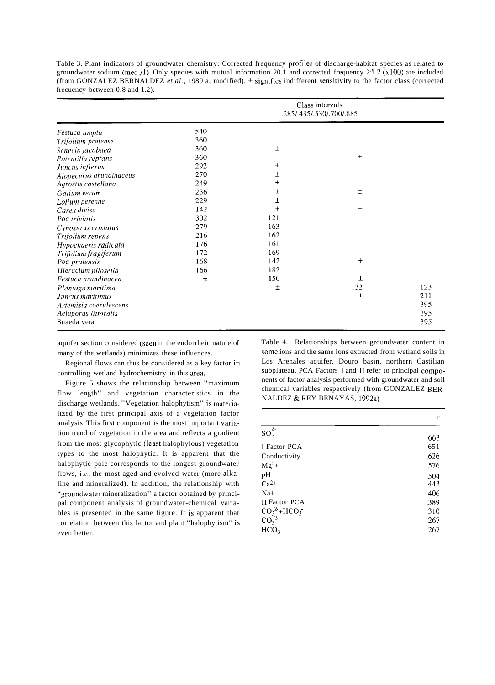|                         | Class intervals<br>.285/.435/.530/.700/.885 |       |       |     |
|-------------------------|---------------------------------------------|-------|-------|-----|
| Festuca ampla           | 540                                         |       |       |     |
| Trifolium pratense      | 360                                         |       |       |     |
| Senecio jacobaea        | 360                                         | $\pm$ |       |     |
| Potentilla reptans      | 360                                         |       | $\pm$ |     |
| Juncus inflexus         | 292                                         | 土     |       |     |
| Alopecurus arundinaceus | 270                                         | Ŧ     |       |     |
| Agrostis castellana     | 249                                         | $\pm$ |       |     |
| Galium verum            | 236                                         | Ŧ     | $\pm$ |     |
| Lolium perenne          | 229                                         | $\pm$ |       |     |
| Carex divisa            | 142                                         | 土     | 土     |     |
| Poa trivialis           | 302                                         | 121   |       |     |
| Cynosurus cristatus     | 279                                         | 163   |       |     |
| Trifolium repens        | 216                                         | 162   |       |     |
| Hypochaeris radicata    | 176                                         | 161   |       |     |
| Trifolium fragiferum    | 172                                         | 169   |       |     |
| Poa pratensis           | 168                                         | 142   | 土     |     |
| Hieracium pilosella     | 166                                         | 182   |       |     |
| Festuca arundinacea     | $\pm$                                       | 150   | 土     |     |
| Plantago maritima       |                                             | $\pm$ | 132   | 123 |
| Juncus maritimus        |                                             |       | $\pm$ | 211 |
| Artemisia coerulescens  |                                             |       |       | 395 |
| Aeluporus littoralis    |                                             |       |       | 395 |
| Suaeda vera             |                                             |       |       | 395 |

Table 3. Plant indicators of groundwater chemistry: Corrected frequency profiles of discharge-habitat species as related to groundwater sodium (meq./1). Only species with mutual information 20.1 and corrected frequency  $\geq 1.2$  (x100) are included (from GONZALEZ BERNALDEZ *et al.*, 1989 a, modified).  $\pm$  signifies indifferent sensitivity to the factor class (corrected frecuency between 0.8 and 1.2).

aquifer section considered (seen in the endorrheic nature of many of the wetlands) minimizes these influences.

Regional flows can thus be considered as a key factor in controlling wetland hydrochemistry in this area.

Figure 5 shows the relationship between "maximum flow length" and vegetation characteristics in the discharge wetlands. "Vegetation halophytism" is materialized by the first principal axis of a vegetation factor analysis. This first component is the most important variation trend of vegetation in the area and reflects a gradient from the most glycophytic (least halophylous) vegetation types to the most halophytic. It is apparent that the halophytic pole corresponds to the longest groundwater flows, i.e. the most aged and evolved water (more alkaline and mineralized). In addition, the relationship with "groundwater mineralization" a factor obtained by principal component analysis of groundwater-chemical variables is presented in the same figure. It is apparent that correlation between this factor and plant "halophytism" is even better.

Table 4. Relationships between groundwater content in some ions and the same ions extracted from wetland soils in Los Arenales aquifer, Douro basin, northern Castilian subplateau. PCA Factors 1 and **11** refer to principal components of factor analysis performed with groundwater and soil chemical variables respectively (from GONZALEZ BER-NALDEZ & REY BENAYAS, 1992a)

|                              | r    |
|------------------------------|------|
| $2 -$<br>$SO_4$              | .663 |
| <b>I</b> Factor PCA          | .651 |
| Conductivity                 | .626 |
| $Mg^{2+}$                    | .576 |
| pH                           | .504 |
| $Ca^{2+}$                    | .443 |
| $Na+$                        | .406 |
| <b>II</b> Factor PCA         | .389 |
| $CO_3^2+HCO_3^-$             | .310 |
| CO <sub>3</sub> <sup>2</sup> | .267 |
| HCO <sub>3</sub>             | .267 |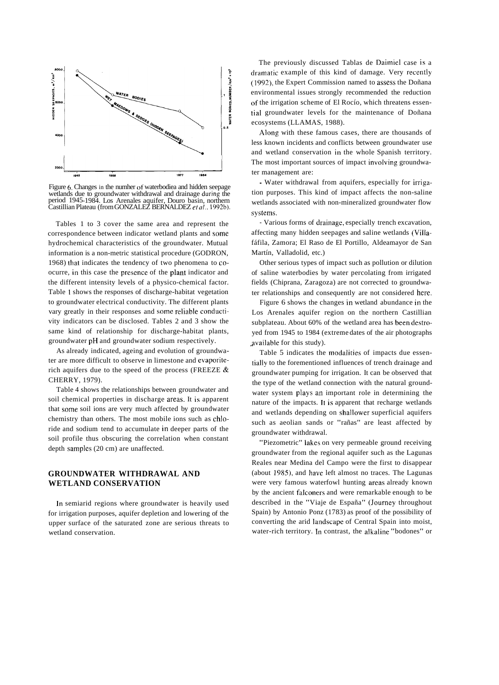

Figure **6.** Changes in the numher oí' waterbodiea and hidden seepage wetlands due to groundwater withdrawal and drainage during the period 1945-1984. Los Arenales aquifer, Douro basin, northern Castillian Plateau (from GONZALEZ BERNALDEZ *et al..* 1992b).

Tables 1 to 3 cover the same area and represent the correspondence between indicator wetland plants and some hydrochemical characteristics of the groundwater. Mutual information is a non-metric statistical procedure (GODRON, 1968) ihat indicates the tendency of two phenomena to coocurre, in this case the presence of the plant indicator and the different intensity levels of a physico-chemical factor. Table 1 shows the responses of discharge-habitat vegetation to groundwater electrical conductivity. The different plants vary greatly in their responses and some reliable conductivity indicators can be disclosed. Tables 2 and 3 show the same kind of relationship for discharge-habitat plants, groundwater pH and groundwater sodium respectively.

As already indicated, ageing and evolution of groundwater are more difficult to observe in limestone and evaporiterich aquifers due to the speed of the process (FREEZE  $\&$ CHERRY, 1979).

Table 4 shows the relationships between groundwater and soil chemical properties in discharge areas. It is apparent that some soil ions are very much affected by groundwater chemistry than others. The most mobile ions such as chloride and sodium tend to accumulate in deeper parts of the soil profile thus obscuring the correlation when constant depth samples (20 cm) are unaffected.

## **GROUNDWATER WITHDRAWAL AND WETLAND CONSERVATION**

In semiarid regions where groundwater is heavily used for irrigation purposes, aquifer depletion and lowering of the upper surface of the saturated zone are serious threats to wetland conservation.

The previously discussed Tablas de Daimiel case is a dramatic example of this kind of damage. Very recently (1992), the Expert Commission named to assess the Doñana environmental issues strongly recommended the reduction of the irrigation scheme of El Rocío, which threatens essentia1 groundwater levels for the maintenance of Doñana ecosystems (LLAMAS, 1988).

Along with these famous cases, there are thousands of less known incidents and conflicts between groundwater use and wetland conservation in the whole Spanish territory. The most important sources of impact involving groundwater management are:

- Water withdrawal from aquifers, especially for irrigation purposes. This kind of impact affects the non-saline wetlands associated with non-mineralized groundwater flow systems.

- Various forms of drainage, especially trench excavation, affecting many hidden seepages and saline wetlands (Villafáfila, Zamora; El Raso de El Portillo, Aldeamayor de San Martín, Valladolid, etc.)

Other serious types of impact such as pollution or dilution of saline waterbodies by water percolating from irrigated fields (Chiprana, Zaragoza) are not corrected to groundwater relationships and consequently are not considered here.

Figure 6 shows the changes in wetland abundance in the Los Arenales aquifer region on the northern Castillian subplateau. About 60% of the wetland area has been destroyed from 1945 to 1984 (extreme dates of the air photographs available for this study).

Table 5 indicates the modalities of impacts due essentially to the forementioned influences of trench drainage and groundwater pumping for irrigation. It can be observed that the type of the wetland connection with the natural groundwater system plays an important role in determining the nature of the impacts. It is apparent that recharge wetlands and wetlands depending on shallower superficial aquifers such as aeolian sands or "rañas" are least affected by groundwater withdrawal.

"Piezometric" lakes on very permeable ground receiving groundwater from the regional aquifer such as the Lagunas Reales near Medina del Campo were the first to disappear (about 1985), and have left almost no traces. The Lagunas were very famous waterfowl hunting areas already known by the ancient falconers and were remarkable enough to be described in the "Viaje de España" (Journey throughout Spain) by Antonio Ponz (1783) as proof of the possibility of converting the arid landscape of Central Spain into moist, water-rich territory. In contrast, the alkaline "bodones" or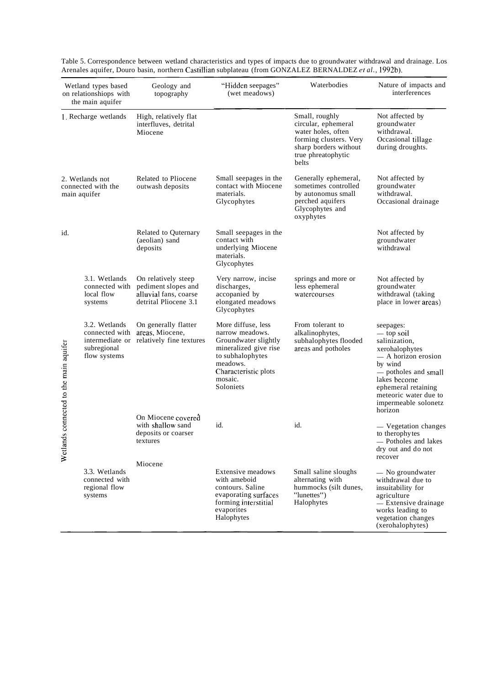| Wetland types based<br>on relationshiops with<br>the main aquifer |                                                                                   | Geology and<br>topography                                                                    | "Hidden seepages"<br>(wet meadows)                                                                                                                                     | Waterbodies                                                                                                                                   | Nature of impacts and<br>interferences                                                                                                                                                                                  |  |
|-------------------------------------------------------------------|-----------------------------------------------------------------------------------|----------------------------------------------------------------------------------------------|------------------------------------------------------------------------------------------------------------------------------------------------------------------------|-----------------------------------------------------------------------------------------------------------------------------------------------|-------------------------------------------------------------------------------------------------------------------------------------------------------------------------------------------------------------------------|--|
|                                                                   | 1. Recharge wetlands                                                              | High, relatively flat<br>interfluves, detrital<br>Miocene                                    |                                                                                                                                                                        | Small, roughly<br>circular, ephemeral<br>water holes, often<br>forming clusters. Very<br>sharp borders without<br>true phreatophytic<br>belts | Not affected by<br>groundwater<br>withdrawal.<br>Occasional tillage<br>during droughts.                                                                                                                                 |  |
|                                                                   | 2. Wetlands not<br>connected with the<br>main aquifer                             | Related to Pliocene<br>outwash deposits                                                      | Small seepages in the<br>contact with Miocene<br>materials.<br>Glycophytes                                                                                             | Generally ephemeral,<br>sometimes controlled<br>by autonomus small<br>perched aquifers<br>Glycophytes and<br>oxyphytes                        | Not affected by<br>groundwater<br>withdrawal.<br>Occasional drainage                                                                                                                                                    |  |
| id.                                                               |                                                                                   | Related to Quternary<br>(aeolian) sand<br>deposits                                           | Small seepages in the<br>contact with<br>underlying Miocene<br>materials.<br>Glycophytes                                                                               |                                                                                                                                               | Not affected by<br>groundwater<br>withdrawal                                                                                                                                                                            |  |
|                                                                   | 3.1. Wetlands<br>connected with<br>local flow<br>systems                          | On relatively steep<br>pediment slopes and<br>alluvial fans, coarse<br>detrital Pliocene 3.1 | Very narrow, incise<br>discharges,<br>accopanied by<br>elongated meadows<br>Glycophytes                                                                                | springs and more or<br>less ephemeral<br>watercourses                                                                                         | Not affected by<br>groundwater<br>withdrawal (taking<br>place in lower areas)                                                                                                                                           |  |
| ds connected to the main aquifer                                  | 3.2. Wetlands<br>connected with<br>intermediate or<br>subregional<br>flow systems | On generally flatter<br>areas, Miocene,<br>relatively fine textures                          | More diffuse, less<br>narrow meadows.<br>Groundwater slightly<br>mineralized give rise<br>to subhalophytes<br>meadows.<br>Characteristic plots<br>mosaic.<br>Soloniets | From tolerant to<br>alkalinophytes,<br>subhalophytes flooded<br>areas and potholes                                                            | seepages:<br>— top soil<br>salinization,<br>xerohalophytes<br>— A horizon erosion<br>by wind<br>— potholes and small<br>lakes become<br>ephemeral retaining<br>meteoric water due to<br>impermeable solonetz<br>horizon |  |
| Wetlan                                                            |                                                                                   | On Miocene covered<br>with shallow sand<br>deposits or coarser<br>textures                   | id.                                                                                                                                                                    | id.                                                                                                                                           | - Vegetation changes<br>to therophytes<br>- Potholes and lakes<br>dry out and do not<br>recover                                                                                                                         |  |
|                                                                   | 3.3. Wetlands<br>connected with<br>regional flow<br>systems                       | Miocene                                                                                      | <b>Extensive meadows</b><br>with ameboid<br>contours. Saline<br>evaporating surfaces<br>forming interstitial<br>evaporites<br>Halophytes                               | Small saline sloughs<br>alternating with<br>hummocks (silt dunes,<br>"lunettes")<br>Halophytes                                                | - No groundwater<br>withdrawal due to<br>insuitability for<br>agriculture<br>- Extensive drainage<br>works leading to<br>vegetation changes<br>(xerohalophytes)                                                         |  |

Table 5. Correspondence between wetland characteristics and types of impacts due to groundwater withdrawal and drainage. Los Arenales aquifer, Douro basin, northern Castillian subplateau (from GONZALEZ BERNALDEZ *et al.,* 1992b).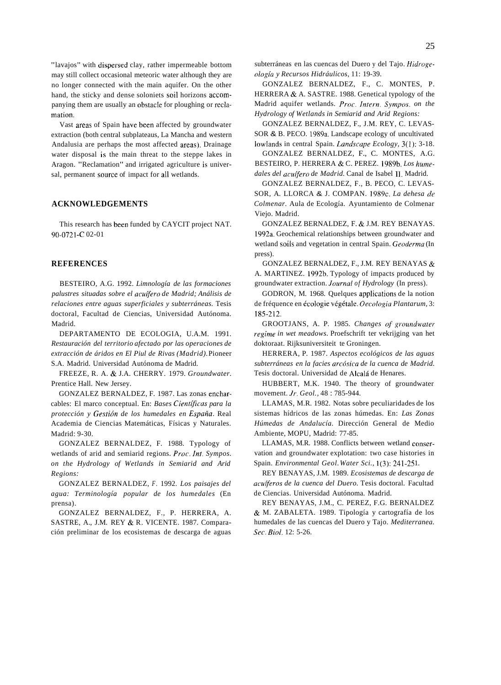"lavajos" with dispersed clay, rather impermeable bottom may still collect occasional meteoric water although they are no longer connected with the main aquifer. On the other hand, the sticky and dense soloniets soil horizons accompanying them are usually an obstacle for ploughing or reclamation.

Vast areas of Spain have been affected by groundwater extraction (both central subplateaus, La Mancha and western Andalusia are perhaps the most affected areas). Drainage water disposal is the main threat to the steppe lakes in Aragon. "Reclamation" and irrigated agriculture is universal, permanent source of impact for al1 wetlands.

## **ACKNOWLEDGEMENTS**

This research has been funded by CAYCIT project NAT. 90-0721 -C 02-0 1

## **REFERENCES**

BESTEIRO, A.G. 1992. *Limnología de las formaciones*  palustres situadas sobre el acuífero de Madrid; Análisis de *relaciones entre aguas superficiales y subterráneas.* Tesis doctoral, Facultad de Ciencias, Universidad Autónoma. Madrid.

DEPARTAMENTO DE ECOLOGIA, U.A.M. 1991. *Restauración del territorio afectado por las operaciones de extracción de áridos en El Piul de Rivas (Madrid).* Pioneer S.A. Madrid. Universidad Autónoma de Madrid.

FREEZE, R. A. & J.A. CHERRY. 1979. *Groundwater.*  Prentice Hall. New Jersey.

GONZALEZ BERNALDEZ, F. 1987. Las zonas encharcables: El marco conceptual. En: *Bases Científicas para la protección y Gesrión de los humedales en España.* Real Academia de Ciencias Matemáticas, Físicas y Naturales. Madrid: 9-30.

GONZALEZ BERNALDEZ, F. 1988. Typology of wetlands of arid and semiarid regions. *Proc. Int. Sympos. on the Hydrology of Wetlands in Semiarid and Arid Regions:* 

GONZALEZ BERNALDEZ, *F.* 1992. *Los paisajes del agua: Terminología popular de los humedales* (En prensa).

GONZALEZ BERNALDEZ, F., P. HERRERA, A. SASTRE, A., J.M. REY & R. VICENTE. 1987. Comparación preliminar de los ecosistemas de descarga de aguas subterráneas en las cuencas del Duero y del Tajo. *Hidrogeología y Recursos Hidráulicos,* 11: 19-39.

GONZALEZ BERNALDEZ, F., C. MONTES, P. HERRERA & A. SASTRE. 1988. Genetical typology of the Madrid aquifer wetlands. *Proc. Intern. Sympos. on the Hydrology of Wetlands in Semiarid and Arid Regions:* 

GONZALEZ BERNALDEZ, F., J.M. REY, C. LEVAS-SOR & B. PECO. 1989a. Landscape ecology of uncultivated lowlands in central Spain. *Landscape Ecology,* 3(1): 3-18.

GONZALEZ BERNALDEZ, F., C. MONTES, A.G. BESTEIRO, P. HERRERA & C. PEREZ. 1989b. *Los hume*dales del acuífero de Madrid. Canal de Isabel II. Madrid.

GONZALEZ BERNALDEZ, F., B. PECO, C. LEVAS-SOR, A. LLORCA & J. COMPAN. 1989c. *La dehesa dp Colmenar.* Aula de Ecología. Ayuntamiento de Colmenar Viejo. Madrid.

GONZALEZ BERNALDEZ, F. & J.M. REY BENAYAS. 1992a. Geochemical relationships between groundwater and wetland soils and vegetation in central Spain. *Geodermu* (In press).

GONZALEZ BERNALDEZ, F., J.M. REY BENAYAS & A. MARTINEZ. 1992b. Typology of impacts produced by groundwater extraction. *Journal of Hydrology* (In press).

GODRON, M. 1968. Quelques applications de la notion de fréquence en écologie végétale. *Oecologiu Plantarum,* 3: 185-212.

GROOTJANS, A. P. 1985. Changes of groundwater *regime in wet meadows.* Proefschrift ter vekrijging van het doktoraat. Rijksuniversiteit te Groningen.

HERRERA, P. 1987. *Aspectos ecológicos de las aguas subterráneas en la facies arcósica de la cuenca de Madrid.*  Tesis doctoral. Universidad de Alcalá de Henares.

HUBBERT, M.K. 1940. The theory of groundwater movement. *Jr. Geol.,* 48 : 785-944.

LLAMAS, M.R. 1982. Notas sobre peculiaridades de los sistemas hídricos de las zonas húmedas. En: *Las Zonas Húmedas de Andalucía.* Dirección General de Medio Ambiente, MOPU, Madrid: 77-85.

LLAMAS, M.R. 1988. Conflicts between wetland conservation and groundwater explotation: two case histories in Spain. *Environmental Geol. Water Sci.,* l(3): 241-25 1.

REY BENAYAS, J.M. 1989. *Ecosistemas de descarga de acuíferos de la cuenca del Duero*. Tesis doctoral. Facultad de Ciencias. Universidad Autónoma. Madrid.

REY BENAYAS, J.M., C. PEREZ, F.G. BERNALDEZ & M. ZABALETA. 1989. Tipología y cartografía de los humedales de las cuencas del Duero y Tajo. *Mediterranea. Sec. Biol.* 12: 5-26.